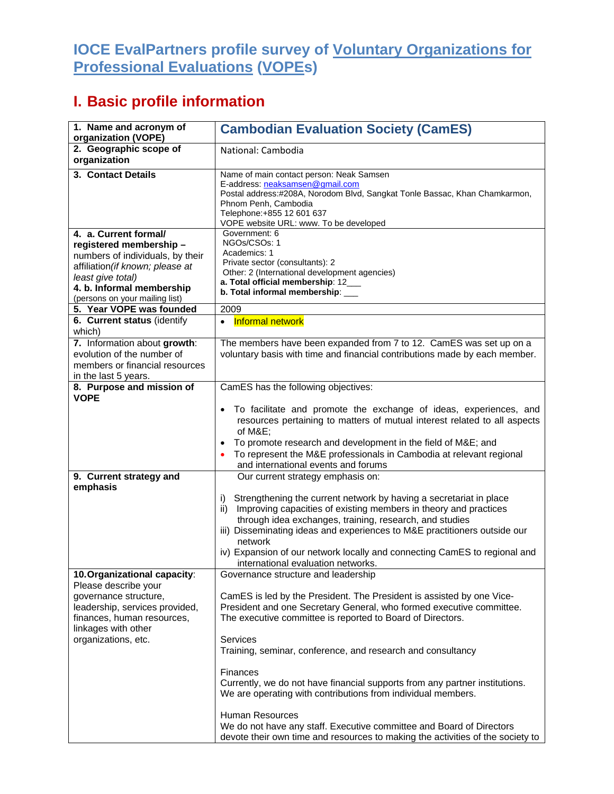## **IOCE EvalPartners profile survey of Voluntary Organizations for Professional Evaluations (VOPEs)**

## **I. Basic profile information**

| 1. Name and acronym of<br>organization (VOPE)                                                                                                                                                               | <b>Cambodian Evaluation Society (CamES)</b>                                                                                                                                                                                                                                                                                                                                                                                                                                                                                                                                                                                                                           |
|-------------------------------------------------------------------------------------------------------------------------------------------------------------------------------------------------------------|-----------------------------------------------------------------------------------------------------------------------------------------------------------------------------------------------------------------------------------------------------------------------------------------------------------------------------------------------------------------------------------------------------------------------------------------------------------------------------------------------------------------------------------------------------------------------------------------------------------------------------------------------------------------------|
| 2. Geographic scope of<br>organization                                                                                                                                                                      | National: Cambodia                                                                                                                                                                                                                                                                                                                                                                                                                                                                                                                                                                                                                                                    |
| 3. Contact Details                                                                                                                                                                                          | Name of main contact person: Neak Samsen<br>E-address: neaksamsen@gmail.com<br>Postal address:#208A, Norodom Blvd, Sangkat Tonle Bassac, Khan Chamkarmon,<br>Phnom Penh, Cambodia<br>Telephone: +855 12 601 637<br>VOPE website URL: www. To be developed                                                                                                                                                                                                                                                                                                                                                                                                             |
| 4. a. Current formal/<br>registered membership-<br>numbers of individuals, by their<br>affiliation (if known; please at<br>least give total)<br>4. b. Informal membership<br>(persons on your mailing list) | Government: 6<br>NGOs/CSOs: 1<br>Academics: 1<br>Private sector (consultants): 2<br>Other: 2 (International development agencies)<br>a. Total official membership: 12___<br>b. Total informal membership: ___                                                                                                                                                                                                                                                                                                                                                                                                                                                         |
| 5. Year VOPE was founded                                                                                                                                                                                    | 2009                                                                                                                                                                                                                                                                                                                                                                                                                                                                                                                                                                                                                                                                  |
| 6. Current status (identify<br>which)                                                                                                                                                                       | <b>Informal network</b><br>$\bullet$                                                                                                                                                                                                                                                                                                                                                                                                                                                                                                                                                                                                                                  |
| 7. Information about growth:<br>evolution of the number of<br>members or financial resources<br>in the last 5 years.                                                                                        | The members have been expanded from 7 to 12. CamES was set up on a<br>voluntary basis with time and financial contributions made by each member.                                                                                                                                                                                                                                                                                                                                                                                                                                                                                                                      |
| 8. Purpose and mission of<br><b>VOPE</b>                                                                                                                                                                    | CamES has the following objectives:<br>To facilitate and promote the exchange of ideas, experiences, and<br>$\bullet$<br>resources pertaining to matters of mutual interest related to all aspects<br>of M&E<br>To promote research and development in the field of M&E and<br>To represent the M&E professionals in Cambodia at relevant regional<br>and international events and forums                                                                                                                                                                                                                                                                             |
| 9. Current strategy and<br>emphasis                                                                                                                                                                         | Our current strategy emphasis on:<br>Strengthening the current network by having a secretariat in place<br>i)<br>Improving capacities of existing members in theory and practices<br>ii)<br>through idea exchanges, training, research, and studies<br>iii) Disseminating ideas and experiences to M&E practitioners outside our<br>network<br>iv) Expansion of our network locally and connecting CamES to regional and<br>international evaluation networks.                                                                                                                                                                                                        |
| 10. Organizational capacity:<br>Please describe your<br>governance structure,<br>leadership, services provided,<br>finances, human resources,<br>linkages with other<br>organizations, etc.                 | Governance structure and leadership<br>CamES is led by the President. The President is assisted by one Vice-<br>President and one Secretary General, who formed executive committee.<br>The executive committee is reported to Board of Directors.<br>Services<br>Training, seminar, conference, and research and consultancy<br>Finances<br>Currently, we do not have financial supports from any partner institutions.<br>We are operating with contributions from individual members.<br>Human Resources<br>We do not have any staff. Executive committee and Board of Directors<br>devote their own time and resources to making the activities of the society to |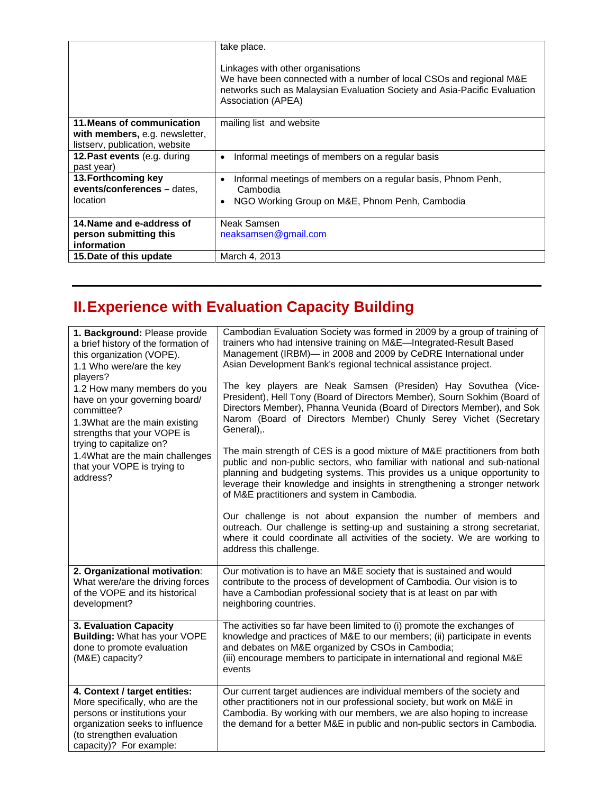|                                                                                                | take place.<br>Linkages with other organisations<br>We have been connected with a number of local CSOs and regional M&E<br>networks such as Malaysian Evaluation Society and Asia-Pacific Evaluation<br>Association (APEA) |
|------------------------------------------------------------------------------------------------|----------------------------------------------------------------------------------------------------------------------------------------------------------------------------------------------------------------------------|
| 11. Means of communication<br>with members, e.g. newsletter,<br>listserv, publication, website | mailing list and website                                                                                                                                                                                                   |
| 12. Past events (e.g. during<br>past year)                                                     | Informal meetings of members on a regular basis<br>٠                                                                                                                                                                       |
| 13. Forthcoming key<br>events/conferences - dates,<br>location                                 | Informal meetings of members on a regular basis, Phnom Penh,<br>$\bullet$<br>Cambodia<br>NGO Working Group on M&E, Phnom Penh, Cambodia                                                                                    |
| 14. Name and e-address of<br>person submitting this<br>information                             | Neak Samsen<br>neaksamsen@gmail.com                                                                                                                                                                                        |
| 15. Date of this update                                                                        | March 4, 2013                                                                                                                                                                                                              |

## **II. Experience with Evaluation Capacity Building**

| 1. Background: Please provide<br>a brief history of the formation of<br>this organization (VOPE).<br>1.1 Who were/are the key<br>players?<br>1.2 How many members do you<br>have on your governing board/<br>committee?<br>1.3What are the main existing<br>strengths that your VOPE is<br>trying to capitalize on?<br>1.4What are the main challenges<br>that your VOPE is trying to<br>address? | Cambodian Evaluation Society was formed in 2009 by a group of training of<br>trainers who had intensive training on M&E-Integrated-Result Based<br>Management (IRBM)- in 2008 and 2009 by CeDRE International under<br>Asian Development Bank's regional technical assistance project.<br>The key players are Neak Samsen (Presiden) Hay Sovuthea (Vice-<br>President), Hell Tony (Board of Directors Member), Sourn Sokhim (Board of<br>Directors Member), Phanna Veunida (Board of Directors Member), and Sok<br>Narom (Board of Directors Member) Chunly Serey Vichet (Secretary<br>General),.<br>The main strength of CES is a good mixture of M&E practitioners from both<br>public and non-public sectors, who familiar with national and sub-national<br>planning and budgeting systems. This provides us a unique opportunity to<br>leverage their knowledge and insights in strengthening a stronger network<br>of M&E practitioners and system in Cambodia.<br>Our challenge is not about expansion the number of members and<br>outreach. Our challenge is setting-up and sustaining a strong secretariat,<br>where it could coordinate all activities of the society. We are working to<br>address this challenge. |
|---------------------------------------------------------------------------------------------------------------------------------------------------------------------------------------------------------------------------------------------------------------------------------------------------------------------------------------------------------------------------------------------------|--------------------------------------------------------------------------------------------------------------------------------------------------------------------------------------------------------------------------------------------------------------------------------------------------------------------------------------------------------------------------------------------------------------------------------------------------------------------------------------------------------------------------------------------------------------------------------------------------------------------------------------------------------------------------------------------------------------------------------------------------------------------------------------------------------------------------------------------------------------------------------------------------------------------------------------------------------------------------------------------------------------------------------------------------------------------------------------------------------------------------------------------------------------------------------------------------------------------------------|
| 2. Organizational motivation:<br>What were/are the driving forces<br>of the VOPE and its historical<br>development?                                                                                                                                                                                                                                                                               | Our motivation is to have an M&E society that is sustained and would<br>contribute to the process of development of Cambodia. Our vision is to<br>have a Cambodian professional society that is at least on par with<br>neighboring countries.                                                                                                                                                                                                                                                                                                                                                                                                                                                                                                                                                                                                                                                                                                                                                                                                                                                                                                                                                                                 |
| 3. Evaluation Capacity<br>Building: What has your VOPE<br>done to promote evaluation<br>(M&E) capacity?                                                                                                                                                                                                                                                                                           | The activities so far have been limited to (i) promote the exchanges of<br>knowledge and practices of M&E to our members; (ii) participate in events<br>and debates on M&E organized by CSOs in Cambodia;<br>(iii) encourage members to participate in international and regional M&E<br>events                                                                                                                                                                                                                                                                                                                                                                                                                                                                                                                                                                                                                                                                                                                                                                                                                                                                                                                                |
| 4. Context / target entities:<br>More specifically, who are the<br>persons or institutions your<br>organization seeks to influence<br>(to strengthen evaluation<br>capacity)? For example:                                                                                                                                                                                                        | Our current target audiences are individual members of the society and<br>other practitioners not in our professional society, but work on M&E in<br>Cambodia. By working with our members, we are also hoping to increase<br>the demand for a better M&E in public and non-public sectors in Cambodia.                                                                                                                                                                                                                                                                                                                                                                                                                                                                                                                                                                                                                                                                                                                                                                                                                                                                                                                        |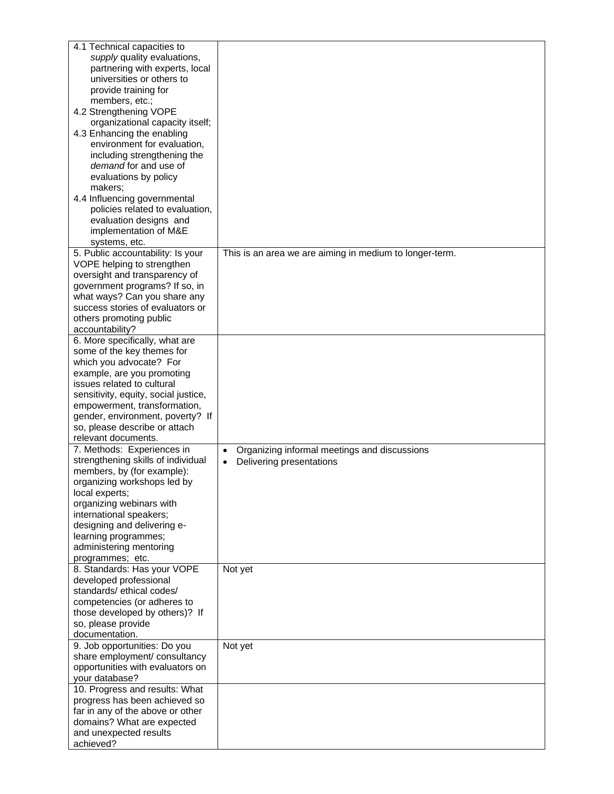| 4.1 Technical capacities to<br>supply quality evaluations,<br>partnering with experts, local<br>universities or others to<br>provide training for<br>members, etc.;<br>4.2 Strengthening VOPE<br>organizational capacity itself;<br>4.3 Enhancing the enabling<br>environment for evaluation,<br>including strengthening the<br>demand for and use of<br>evaluations by policy<br>makers;<br>4.4 Influencing governmental<br>policies related to evaluation,<br>evaluation designs and<br>implementation of M&E<br>systems, etc. |                                                                                                    |
|----------------------------------------------------------------------------------------------------------------------------------------------------------------------------------------------------------------------------------------------------------------------------------------------------------------------------------------------------------------------------------------------------------------------------------------------------------------------------------------------------------------------------------|----------------------------------------------------------------------------------------------------|
| 5. Public accountability: Is your<br>VOPE helping to strengthen<br>oversight and transparency of<br>government programs? If so, in<br>what ways? Can you share any<br>success stories of evaluators or<br>others promoting public<br>accountability?                                                                                                                                                                                                                                                                             | This is an area we are aiming in medium to longer-term.                                            |
| 6. More specifically, what are<br>some of the key themes for<br>which you advocate? For<br>example, are you promoting<br>issues related to cultural<br>sensitivity, equity, social justice,<br>empowerment, transformation,<br>gender, environment, poverty? If<br>so, please describe or attach<br>relevant documents.                                                                                                                                                                                                          |                                                                                                    |
| 7. Methods: Experiences in<br>strengthening skills of individual<br>members, by (for example):<br>organizing workshops led by<br>local experts;<br>organizing webinars with<br>international speakers;<br>designing and delivering e-<br>learning programmes;<br>administering mentoring<br>programmes; etc.                                                                                                                                                                                                                     | Organizing informal meetings and discussions<br>$\bullet$<br>Delivering presentations<br>$\bullet$ |
| 8. Standards: Has your VOPE<br>developed professional<br>standards/ethical codes/<br>competencies (or adheres to<br>those developed by others)? If<br>so, please provide<br>documentation.                                                                                                                                                                                                                                                                                                                                       | Not yet                                                                                            |
| 9. Job opportunities: Do you<br>share employment/ consultancy<br>opportunities with evaluators on<br>your database?<br>10. Progress and results: What<br>progress has been achieved so<br>far in any of the above or other<br>domains? What are expected<br>and unexpected results<br>achieved?                                                                                                                                                                                                                                  | Not yet                                                                                            |